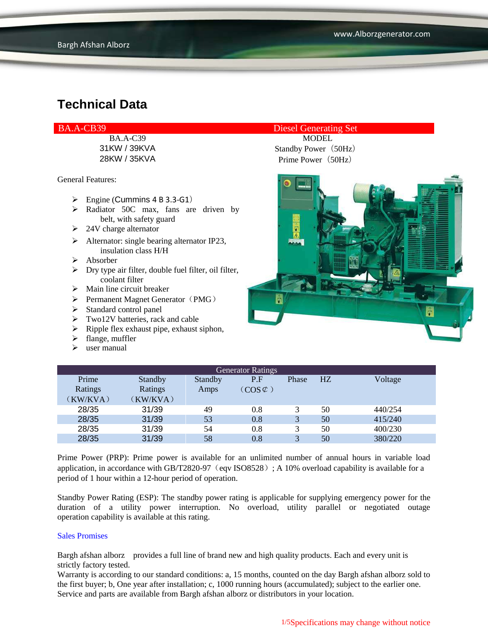General Features:

- $\triangleright$  Engine (Cummins 4 B 3.3-G1)
- $\triangleright$  Radiator 50C max, fans are driven by belt, with safety guard
- $\geq$  24V charge alternator
- $\triangleright$  Alternator: single bearing alternator IP23, insulation class H/H
- $\triangleright$  Absorber
- $\triangleright$  Dry type air filter, double fuel filter, oil filter, coolant filter
- $\triangleright$  Main line circuit breaker
- $\triangleright$  Permanent Magnet Generator (PMG)
- $\triangleright$  Standard control panel
- $\triangleright$  Two12V batteries, rack and cable
- $\triangleright$  Ripple flex exhaust pipe, exhaust siphon,
- $\blacktriangleright$  flange, muffler
- $\triangleright$  user manual

### BA.A-CB39 Diesel Generating Set

BA.A-C39 MODEL 31KW / 39KVA Standby Power(50Hz) 28KW / 35KVA Prime Power(50Hz)



| <b>Generator Ratings</b> |          |         |                     |              |    |         |
|--------------------------|----------|---------|---------------------|--------------|----|---------|
| Prime                    | Standby  | Standby | P.F                 | Phase        | HZ | Voltage |
| Ratings                  | Ratings  | Amps    | $(COS \mathcal{L})$ |              |    |         |
| (KW/KVA)                 | (KW/KVA) |         |                     |              |    |         |
| 28/35                    | 31/39    | 49      | 0.8                 |              | 50 | 440/254 |
| 28/35                    | 31/39    | 53      | 0.8                 | 3            | 50 | 415/240 |
| 28/35                    | 31/39    | 54      | 0.8                 |              | 50 | 400/230 |
| 28/35                    | 31/39    | 58      | 0.8                 | $\mathbf{R}$ | 50 | 380/220 |

Prime Power (PRP): Prime power is available for an unlimited number of annual hours in variable load application, in accordance with GB/T2820-97 (eqv ISO8528); A 10% overload capability is available for a period of 1 hour within a 12-hour period of operation.

Standby Power Rating (ESP): The standby power rating is applicable for supplying emergency power for the duration of a utility power interruption. No overload, utility parallel or negotiated outage operation capability is available at this rating.

#### Sales Promises

Bargh afshan alborz provides a full line of brand new and high quality products. Each and every unit is strictly factory tested.

Warranty is according to our standard conditions: a, 15 months, counted on the day Bargh afshan alborz sold to the first buyer; b, One year after installation; c, 1000 running hours (accumulated); subject to the earlier one. Service and parts are available from Bargh afshan alborz or distributors in your location.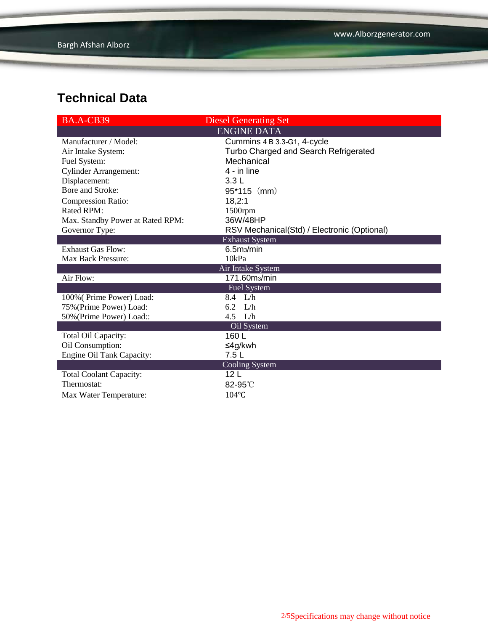| BA.A-CB39                        | <b>Diesel Generating Set</b>                |
|----------------------------------|---------------------------------------------|
|                                  | <b>ENGINE DATA</b>                          |
| Manufacturer / Model:            | Cummins 4 B 3.3-G1, 4-cycle                 |
| Air Intake System:               | Turbo Charged and Search Refrigerated       |
| Fuel System:                     | Mechanical                                  |
| <b>Cylinder Arrangement:</b>     | 4 - in line                                 |
| Displacement:                    | 3.3L                                        |
| Bore and Stroke:                 | $95*115$ (mm)                               |
| <b>Compression Ratio:</b>        | 18,2:1                                      |
| <b>Rated RPM:</b>                | $1500$ rpm                                  |
| Max. Standby Power at Rated RPM: | 36W/48HP                                    |
| Governor Type:                   | RSV Mechanical(Std) / Electronic (Optional) |
|                                  | <b>Exhaust System</b>                       |
| <b>Exhaust Gas Flow:</b>         | 6.5 <sub>ms</sub> /min                      |
| Max Back Pressure:               | 10kPa                                       |
|                                  | Air Intake System                           |
| Air Flow:                        | 171.60m <sub>3</sub> /min                   |
|                                  | Fuel System                                 |
| 100% (Prime Power) Load:         | 8.4 L/h                                     |
| 75% (Prime Power) Load:          | L/h<br>6.2                                  |
| 50% (Prime Power) Load::         | 4.5 L/h                                     |
|                                  | Oil System                                  |
| Total Oil Capacity:              | 160 L                                       |
| Oil Consumption:                 | ≤4g/kwh                                     |
| Engine Oil Tank Capacity:        | 7.5L                                        |
|                                  | Cooling System                              |
| <b>Total Coolant Capacity:</b>   | 12 <sub>L</sub>                             |
| Thermostat:                      | 82-95°C                                     |
| Max Water Temperature:           | $104$ °C                                    |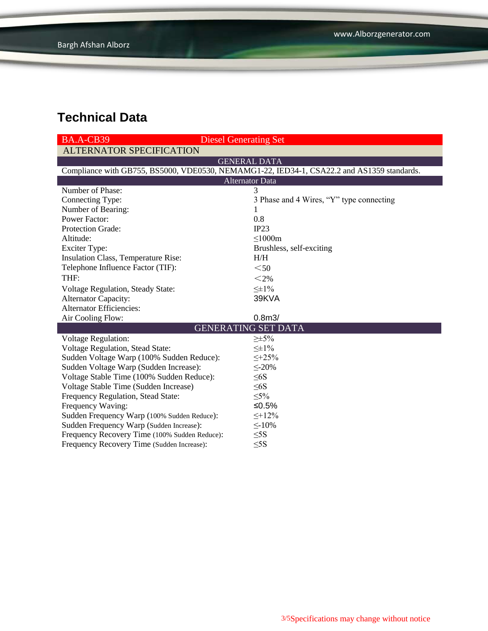| BA.A-CB39<br><b>Diesel Generating Set</b>                                                  |                                          |  |  |  |  |
|--------------------------------------------------------------------------------------------|------------------------------------------|--|--|--|--|
| <b>ALTERNATOR SPECIFICATION</b>                                                            |                                          |  |  |  |  |
|                                                                                            | <b>GENERAL DATA</b>                      |  |  |  |  |
| Compliance with GB755, BS5000, VDE0530, NEMAMG1-22, IED34-1, CSA22.2 and AS1359 standards. |                                          |  |  |  |  |
| <b>Alternator Data</b>                                                                     |                                          |  |  |  |  |
| Number of Phase:                                                                           | 3                                        |  |  |  |  |
| Connecting Type:                                                                           | 3 Phase and 4 Wires, "Y" type connecting |  |  |  |  |
| Number of Bearing:                                                                         | 1                                        |  |  |  |  |
| <b>Power Factor:</b>                                                                       | 0.8                                      |  |  |  |  |
| Protection Grade:                                                                          | IP23                                     |  |  |  |  |
| Altitude:                                                                                  | $\leq 1000m$                             |  |  |  |  |
| <b>Exciter Type:</b>                                                                       | Brushless, self-exciting                 |  |  |  |  |
| Insulation Class, Temperature Rise:                                                        | H/H                                      |  |  |  |  |
| Telephone Influence Factor (TIF):                                                          | $50$                                     |  |  |  |  |
| THF:                                                                                       | $<$ 2%                                   |  |  |  |  |
| <b>Voltage Regulation, Steady State:</b>                                                   | $\leq \pm 1\%$                           |  |  |  |  |
| <b>Alternator Capacity:</b>                                                                | 39KVA                                    |  |  |  |  |
| <b>Alternator Efficiencies:</b>                                                            |                                          |  |  |  |  |
| Air Cooling Flow:                                                                          | 0.8 <sub>m3</sub>                        |  |  |  |  |
| <b>GENERATING SET DATA</b>                                                                 |                                          |  |  |  |  |
| <b>Voltage Regulation:</b>                                                                 | $\geq \pm 5\%$                           |  |  |  |  |
| Voltage Regulation, Stead State:                                                           | $\leq \pm 1\%$                           |  |  |  |  |
| Sudden Voltage Warp (100% Sudden Reduce):                                                  | $\leq +25\%$                             |  |  |  |  |
| Sudden Voltage Warp (Sudden Increase):                                                     | $\leq 20\%$                              |  |  |  |  |
| Voltage Stable Time (100% Sudden Reduce):                                                  | $\leq 6S$                                |  |  |  |  |
| Voltage Stable Time (Sudden Increase)                                                      | $\leq 6S$                                |  |  |  |  |
| Frequency Regulation, Stead State:                                                         | $\leq 5\%$                               |  |  |  |  |
| Frequency Waving:                                                                          | ≤ $0.5%$                                 |  |  |  |  |
| Sudden Frequency Warp (100% Sudden Reduce):                                                | $\leq$ +12%                              |  |  |  |  |
| Sudden Frequency Warp (Sudden Increase):                                                   | $\leq$ -10%                              |  |  |  |  |
| Frequency Recovery Time (100% Sudden Reduce):                                              | $\leq$ 5S                                |  |  |  |  |
| Frequency Recovery Time (Sudden Increase):                                                 | $\leq$ 5S                                |  |  |  |  |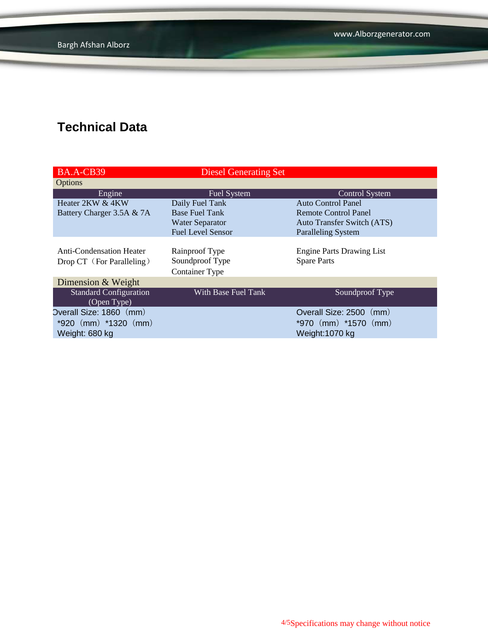www.Alborzgenerator.com

## **Technical Data**

| BA.A-CB39                                                    | <b>Diesel Generating Set</b>                               |                                                        |
|--------------------------------------------------------------|------------------------------------------------------------|--------------------------------------------------------|
| Options                                                      |                                                            |                                                        |
| Engine                                                       | Fuel System                                                | <b>Control System</b>                                  |
| Heater 2KW & 4KW                                             | Daily Fuel Tank                                            | Auto Control Panel                                     |
| Battery Charger 3.5A & 7A                                    | <b>Base Fuel Tank</b>                                      | Remote Control Panel                                   |
|                                                              | <b>Water Separator</b>                                     | <b>Auto Transfer Switch (ATS)</b>                      |
|                                                              | <b>Fuel Level Sensor</b>                                   | <b>Paralleling System</b>                              |
| <b>Anti-Condensation Heater</b><br>Drop CT (For Paralleling) | Rainproof Type<br>Soundproof Type<br><b>Container Type</b> | <b>Engine Parts Drawing List</b><br><b>Spare Parts</b> |
| Dimension & Weight                                           |                                                            |                                                        |
| <b>Standard Configuration</b><br>(Open Type)                 | With Base Fuel Tank                                        | Soundproof Type                                        |
| Overall Size: 1860 (mm)                                      |                                                            | Overall Size: 2500<br>(mm)                             |
| $*920$ (mm) $*1320$ (mm)<br>Weight: 680 kg                   |                                                            | *970 $(mm)$ *1570 $(mm)$<br>Weight: 1070 kg            |